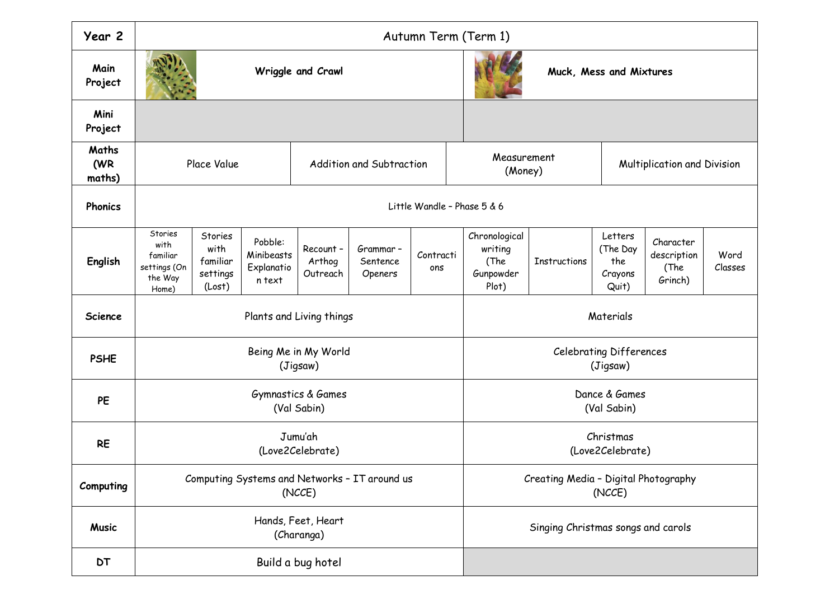| Year 2                 | Autumn Term (Term 1)                                            |                                                   |                                               |                                   |                                 |                              |                                                        |              |                                                |                                             |                 |  |
|------------------------|-----------------------------------------------------------------|---------------------------------------------------|-----------------------------------------------|-----------------------------------|---------------------------------|------------------------------|--------------------------------------------------------|--------------|------------------------------------------------|---------------------------------------------|-----------------|--|
| Main<br>Project        | Wriggle and Crawl                                               |                                                   |                                               |                                   |                                 | Muck, Mess and Mixtures      |                                                        |              |                                                |                                             |                 |  |
| Mini<br>Project        |                                                                 |                                                   |                                               |                                   |                                 |                              |                                                        |              |                                                |                                             |                 |  |
| Maths<br>(WR<br>maths) | Place Value                                                     |                                                   |                                               | Addition and Subtraction          |                                 |                              | Measurement<br>(Money)                                 |              |                                                | Multiplication and Division                 |                 |  |
| Phonics                | Little Wandle - Phase 5 & 6                                     |                                                   |                                               |                                   |                                 |                              |                                                        |              |                                                |                                             |                 |  |
| English                | Stories<br>with<br>familiar<br>settings (On<br>the Way<br>Home) | Stories<br>with<br>familiar<br>settings<br>(Lost) | Pobble:<br>Minibeasts<br>Explanatio<br>n text | Recount-<br>Arthog<br>Outreach    | Grammar-<br>Sentence<br>Openers | Contracti<br>ons             | Chronological<br>writing<br>(The<br>Gunpowder<br>Plot) | Instructions | Letters<br>(The Day<br>the<br>Crayons<br>Quit) | Character<br>description<br>(The<br>Grinch) | Word<br>Classes |  |
| <b>Science</b>         |                                                                 |                                                   |                                               | Plants and Living things          |                                 | Materials                    |                                                        |              |                                                |                                             |                 |  |
| <b>PSHE</b>            | Being Me in My World<br>(Jigsaw)                                |                                                   |                                               |                                   |                                 |                              | <b>Celebrating Differences</b><br>(Jigsaw)             |              |                                                |                                             |                 |  |
| PE                     |                                                                 |                                                   |                                               | Gymnastics & Games<br>(Val Sabin) |                                 | Dance & Games<br>(Val Sabin) |                                                        |              |                                                |                                             |                 |  |
| <b>RE</b>              | Jumu'ah<br>(Love2Celebrate)                                     |                                                   |                                               |                                   |                                 |                              | Christmas<br>(Love2Celebrate)                          |              |                                                |                                             |                 |  |
| Computing              | Computing Systems and Networks - IT around us<br>(NCCE)         |                                                   |                                               |                                   |                                 |                              | Creating Media - Digital Photography<br>(NCCE)         |              |                                                |                                             |                 |  |
| <b>Music</b>           | Hands, Feet, Heart<br>(Charanga)                                |                                                   |                                               |                                   |                                 |                              | Singing Christmas songs and carols                     |              |                                                |                                             |                 |  |
| <b>DT</b>              | Build a bug hotel                                               |                                                   |                                               |                                   |                                 |                              |                                                        |              |                                                |                                             |                 |  |